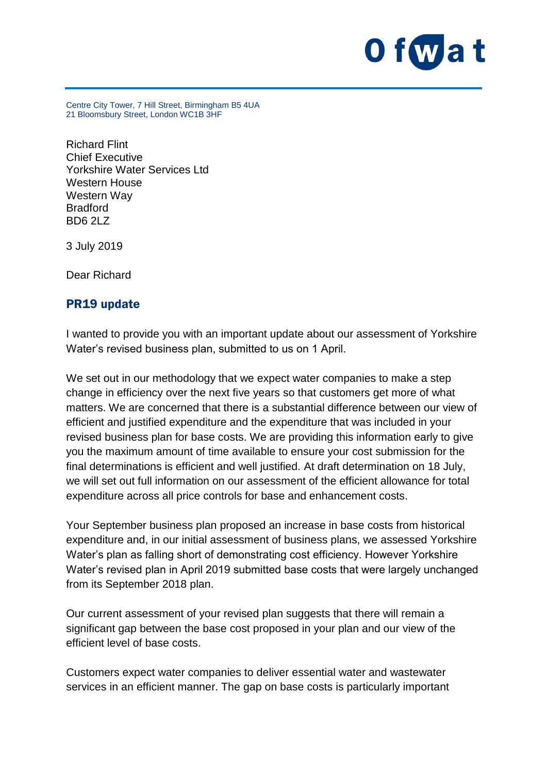

Centre City Tower, 7 Hill Street, Birmingham B5 4UA 21 Bloomsbury Street, London WC1B 3HF

Richard Flint Chief Executive Yorkshire Water Services Ltd Western House Western Way Bradford BD6 2LZ

3 July 2019

Dear Richard

## PR19 update

I wanted to provide you with an important update about our assessment of Yorkshire Water's revised business plan, submitted to us on 1 April.

We set out in our methodology that we expect water companies to make a step change in efficiency over the next five years so that customers get more of what matters. We are concerned that there is a substantial difference between our view of efficient and justified expenditure and the expenditure that was included in your revised business plan for base costs. We are providing this information early to give you the maximum amount of time available to ensure your cost submission for the final determinations is efficient and well justified. At draft determination on 18 July, we will set out full information on our assessment of the efficient allowance for total expenditure across all price controls for base and enhancement costs.

Your September business plan proposed an increase in base costs from historical expenditure and, in our initial assessment of business plans, we assessed Yorkshire Water's plan as falling short of demonstrating cost efficiency. However Yorkshire Water's revised plan in April 2019 submitted base costs that were largely unchanged from its September 2018 plan.

Our current assessment of your revised plan suggests that there will remain a significant gap between the base cost proposed in your plan and our view of the efficient level of base costs.

Customers expect water companies to deliver essential water and wastewater services in an efficient manner. The gap on base costs is particularly important